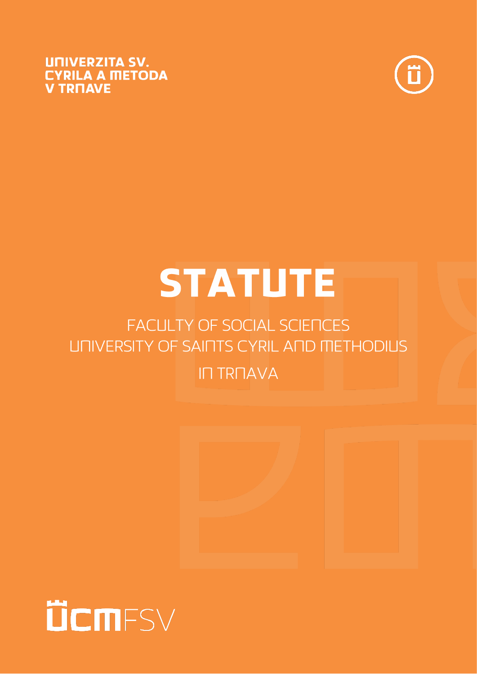



# **STATUTE**

# **FACULTY OF SOCIAL SCIENCES UNIVERSITY OF SAINTS CYRIL AND METHODIUS**



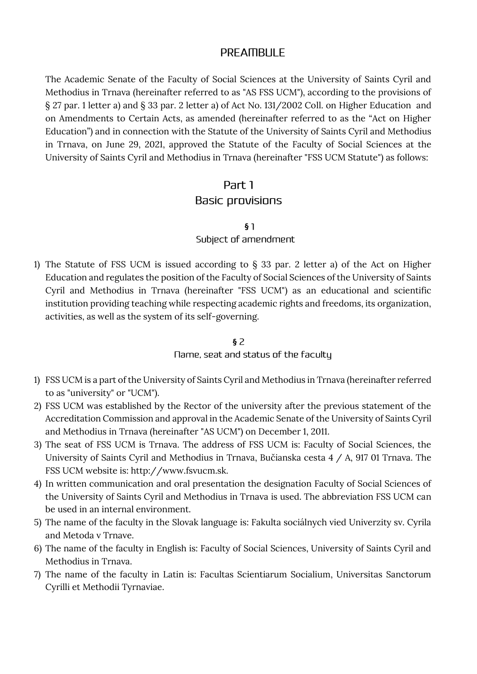## **PREAMBULE**

The Academic Senate of the Faculty of Social Sciences at the University of Saints Cyril and Methodius in Trnava (hereinafter referred to as "AS FSS UCM"), according to the provisions of § 27 par. 1 letter a) and § 33 par. 2 letter a) of Act No. 131/2002 Coll. on Higher Education and on Amendments to Certain Acts, as amended (hereinafter referred to as the "Act on Higher Education") and in connection with the Statute of the University of Saints Cyril and Methodius in Trnava, on June 29, 2021, approved the Statute of the Faculty of Social Sciences at the University of Saints Cyril and Methodius in Trnava (hereinafter "FSS UCM Statute") as follows:

#### Part 1

#### **Basic provisions**

 **§**

#### Subject of amendment

1) The Statute of FSS UCM is issued according to  $\S$  33 par. 2 letter a) of the Act on Higher Education and regulates the position of the Faculty of Social Sciences of the University of Saints Cyril and Methodius in Trnava (hereinafter "FSS UCM") as an educational and scientific institution providing teaching while respecting academic rights and freedoms, its organization, activities, as well as the system of its self-governing.

#### **§**

#### Name, seat and status of the faculty

- 1) FSS UCM is a part of the University of Saints Cyril and Methodius in Trnava (hereinafter referred to as "university" or "UCM").
- 2) FSS UCM was established by the Rector of the university after the previous statement of the Accreditation Commission and approval in the Academic Senate of the University of Saints Cyril and Methodius in Trnava (hereinafter "AS UCM") on December 1, 2011.
- 3) The seat of FSS UCM is Trnava. The address of FSS UCM is: Faculty of Social Sciences, the University of Saints Cyril and Methodius in Trnava, Bučianska cesta 4 / A, 917 01 Trnava. The FSS UCM website is: http://www.fsvucm.sk.
- 4) In written communication and oral presentation the designation Faculty of Social Sciences of the University of Saints Cyril and Methodius in Trnava is used. The abbreviation FSS UCM can be used in an internal environment.
- 5) The name of the faculty in the Slovak language is: Fakulta sociálnych vied Univerzity sv. Cyrila and Metoda v Trnave.
- 6) The name of the faculty in English is: Faculty of Social Sciences, University of Saints Cyril and Methodius in Trnava.
- 7) The name of the faculty in Latin is: Facultas Scientiarum Socialium, Universitas Sanctorum Cyrilli et Methodii Tyrnaviae.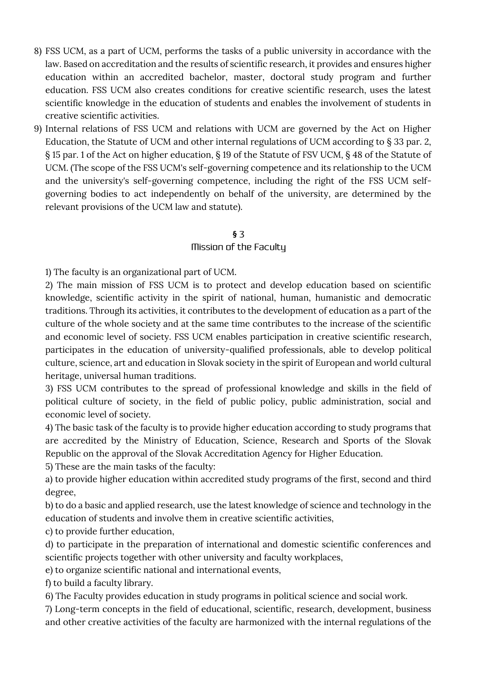- 8) FSS UCM, as a part of UCM, performs the tasks of a public university in accordance with the law. Based on accreditation and the results of scientific research, it provides and ensures higher education within an accredited bachelor, master, doctoral study program and further education. FSS UCM also creates conditions for creative scientific research, uses the latest scientific knowledge in the education of students and enables the involvement of students in creative scientific activities.
- 9) Internal relations of FSS UCM and relations with UCM are governed by the Act on Higher Education, the Statute of UCM and other internal regulations of UCM according to § 33 par. 2, § 15 par. 1 of the Act on higher education, § 19 of the Statute of FSV UCM, § 48 of the Statute of UCM. (The scope of the FSS UCM's self-governing competence and its relationship to the UCM and the university's self-governing competence, including the right of the FSS UCM selfgoverning bodies to act independently on behalf of the university, are determined by the relevant provisions of the UCM law and statute).

#### Mission of the Faculty

1) The faculty is an organizational part of UCM.

2) The main mission of FSS UCM is to protect and develop education based on scientific knowledge, scientific activity in the spirit of national, human, humanistic and democratic traditions. Through its activities, it contributes to the development of education as a part of the culture of the whole society and at the same time contributes to the increase of the scientific and economic level of society. FSS UCM enables participation in creative scientific research, participates in the education of university-qualified professionals, able to develop political culture, science, art and education in Slovak society in the spirit of European and world cultural heritage, universal human traditions.

3) FSS UCM contributes to the spread of professional knowledge and skills in the field of political culture of society, in the field of public policy, public administration, social and economic level of society.

4) The basic task of the faculty is to provide higher education according to study programs that are accredited by the Ministry of Education, Science, Research and Sports of the Slovak Republic on the approval of the Slovak Accreditation Agency for Higher Education.

5) These are the main tasks of the faculty:

a) to provide higher education within accredited study programs of the first, second and third degree,

b) to do a basic and applied research, use the latest knowledge of science and technology in the education of students and involve them in creative scientific activities,

c) to provide further education,

d) to participate in the preparation of international and domestic scientific conferences and scientific projects together with other university and faculty workplaces,

e) to organize scientific national and international events,

f) to build a faculty library.

6) The Faculty provides education in study programs in political science and social work.

7) Long-term concepts in the field of educational, scientific, research, development, business and other creative activities of the faculty are harmonized with the internal regulations of the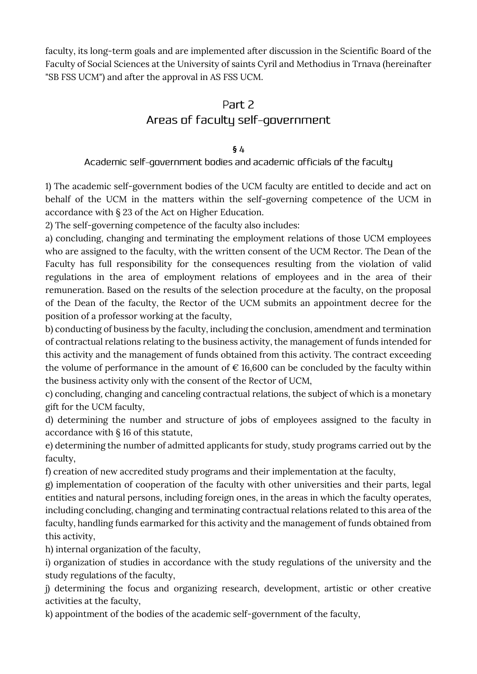faculty, its long-term goals and are implemented after discussion in the Scientific Board of the Faculty of Social Sciences at the University of saints Cyril and Methodius in Trnava (hereinafter "SB FSS UCM") and after the approval in AS FSS UCM.

# Part 2 Areas of faculty self-government

#### **§**

#### Academic self-government bodies and academic officials of the faculty

1) The academic self-government bodies of the UCM faculty are entitled to decide and act on behalf of the UCM in the matters within the self-governing competence of the UCM in accordance with § 23 of the Act on Higher Education.

2) The self-governing competence of the faculty also includes:

a) concluding, changing and terminating the employment relations of those UCM employees who are assigned to the faculty, with the written consent of the UCM Rector. The Dean of the Faculty has full responsibility for the consequences resulting from the violation of valid regulations in the area of employment relations of employees and in the area of their remuneration. Based on the results of the selection procedure at the faculty, on the proposal of the Dean of the faculty, the Rector of the UCM submits an appointment decree for the position of a professor working at the faculty,

b) conducting of business by the faculty, including the conclusion, amendment and termination of contractual relations relating to the business activity, the management of funds intended for this activity and the management of funds obtained from this activity. The contract exceeding the volume of performance in the amount of  $\epsilon$  16,600 can be concluded by the faculty within the business activity only with the consent of the Rector of UCM,

c) concluding, changing and canceling contractual relations, the subject of which is a monetary gift for the UCM faculty,

d) determining the number and structure of jobs of employees assigned to the faculty in accordance with § 16 of this statute,

e) determining the number of admitted applicants for study, study programs carried out by the faculty,

f) creation of new accredited study programs and their implementation at the faculty,

g) implementation of cooperation of the faculty with other universities and their parts, legal entities and natural persons, including foreign ones, in the areas in which the faculty operates, including concluding, changing and terminating contractual relations related to this area of the faculty, handling funds earmarked for this activity and the management of funds obtained from this activity,

h) internal organization of the faculty,

i) organization of studies in accordance with the study regulations of the university and the study regulations of the faculty,

j) determining the focus and organizing research, development, artistic or other creative activities at the faculty,

k) appointment of the bodies of the academic self-government of the faculty,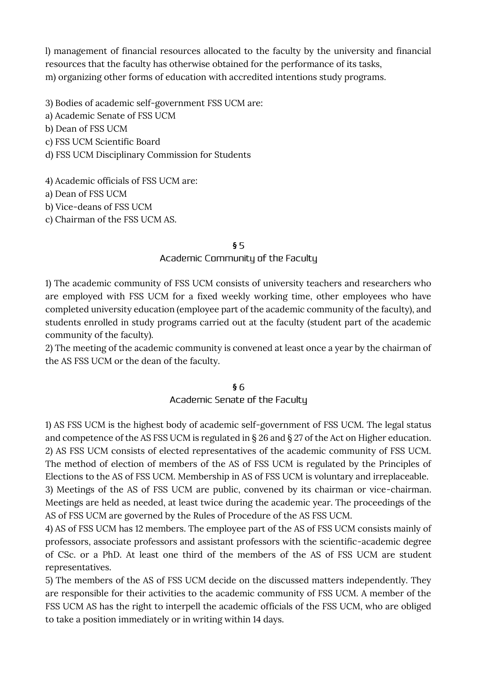l) management of financial resources allocated to the faculty by the university and financial resources that the faculty has otherwise obtained for the performance of its tasks, m) organizing other forms of education with accredited intentions study programs.

3) Bodies of academic self-government FSS UCM are:

a) Academic Senate of FSS UCM

b) Dean of FSS UCM

c) FSS UCM Scientific Board

d) FSS UCM Disciplinary Commission for Students

4) Academic officials of FSS UCM are:

a) Dean of FSS UCM

b) Vice-deans of FSS UCM

c) Chairman of the FSS UCM AS.

#### **§**

Academic Community of the Faculty

1) The academic community of FSS UCM consists of university teachers and researchers who are employed with FSS UCM for a fixed weekly working time, other employees who have completed university education (employee part of the academic community of the faculty), and students enrolled in study programs carried out at the faculty (student part of the academic community of the faculty).

2) The meeting of the academic community is convened at least once a year by the chairman of the AS FSS UCM or the dean of the faculty.

#### **§**

Academic Senate of the Faculty

1) AS FSS UCM is the highest body of academic self-government of FSS UCM. The legal status and competence of the AS FSS UCM is regulated in § 26 and § 27 of the Act on Higher education. 2) AS FSS UCM consists of elected representatives of the academic community of FSS UCM. The method of election of members of the AS of FSS UCM is regulated by the Principles of Elections to the AS of FSS UCM. Membership in AS of FSS UCM is voluntary and irreplaceable. 3) Meetings of the AS of FSS UCM are public, convened by its chairman or vice-chairman. Meetings are held as needed, at least twice during the academic year. The proceedings of the AS of FSS UCM are governed by the Rules of Procedure of the AS FSS UCM.

4) AS of FSS UCM has 12 members. The employee part of the AS of FSS UCM consists mainly of professors, associate professors and assistant professors with the scientific-academic degree of CSc. or a PhD. At least one third of the members of the AS of FSS UCM are student representatives.

5) The members of the AS of FSS UCM decide on the discussed matters independently. They are responsible for their activities to the academic community of FSS UCM. A member of the FSS UCM AS has the right to interpell the academic officials of the FSS UCM, who are obliged to take a position immediately or in writing within 14 days.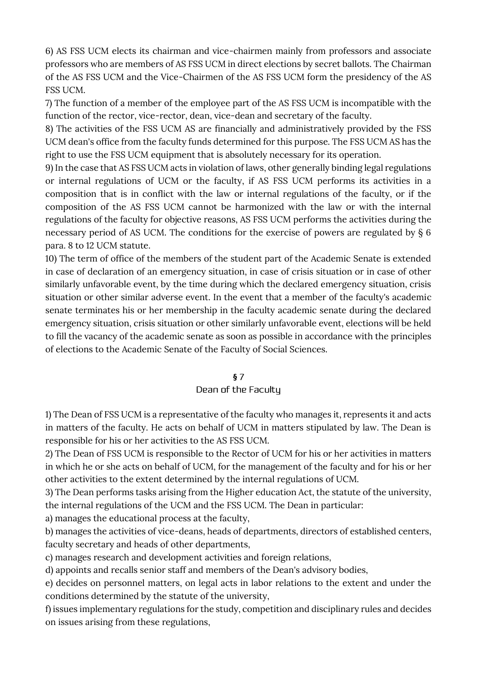6) AS FSS UCM elects its chairman and vice-chairmen mainly from professors and associate professors who are members of AS FSS UCM in direct elections by secret ballots. The Chairman of the AS FSS UCM and the Vice-Chairmen of the AS FSS UCM form the presidency of the AS FSS UCM.

7) The function of a member of the employee part of the AS FSS UCM is incompatible with the function of the rector, vice-rector, dean, vice-dean and secretary of the faculty.

8) The activities of the FSS UCM AS are financially and administratively provided by the FSS UCM dean's office from the faculty funds determined for this purpose. The FSS UCM AS has the right to use the FSS UCM equipment that is absolutely necessary for its operation.

9) In the case that AS FSS UCM acts in violation of laws, other generally binding legal regulations or internal regulations of UCM or the faculty, if AS FSS UCM performs its activities in a composition that is in conflict with the law or internal regulations of the faculty, or if the composition of the AS FSS UCM cannot be harmonized with the law or with the internal regulations of the faculty for objective reasons, AS FSS UCM performs the activities during the necessary period of AS UCM. The conditions for the exercise of powers are regulated by § 6 para. 8 to 12 UCM statute.

10) The term of office of the members of the student part of the Academic Senate is extended in case of declaration of an emergency situation, in case of crisis situation or in case of other similarly unfavorable event, by the time during which the declared emergency situation, crisis situation or other similar adverse event. In the event that a member of the faculty's academic senate terminates his or her membership in the faculty academic senate during the declared emergency situation, crisis situation or other similarly unfavorable event, elections will be held to fill the vacancy of the academic senate as soon as possible in accordance with the principles of elections to the Academic Senate of the Faculty of Social Sciences.

#### **§**

#### Dean of the Faculty

1) The Dean of FSS UCM is a representative of the faculty who manages it, represents it and acts in matters of the faculty. He acts on behalf of UCM in matters stipulated by law. The Dean is responsible for his or her activities to the AS FSS UCM.

2) The Dean of FSS UCM is responsible to the Rector of UCM for his or her activities in matters in which he or she acts on behalf of UCM, for the management of the faculty and for his or her other activities to the extent determined by the internal regulations of UCM.

3) The Dean performs tasks arising from the Higher education Act, the statute of the university, the internal regulations of the UCM and the FSS UCM. The Dean in particular:

a) manages the educational process at the faculty,

b) manages the activities of vice-deans, heads of departments, directors of established centers, faculty secretary and heads of other departments,

c) manages research and development activities and foreign relations,

d) appoints and recalls senior staff and members of the Dean's advisory bodies,

e) decides on personnel matters, on legal acts in labor relations to the extent and under the conditions determined by the statute of the university,

f) issues implementary regulations for the study, competition and disciplinary rules and decides on issues arising from these regulations,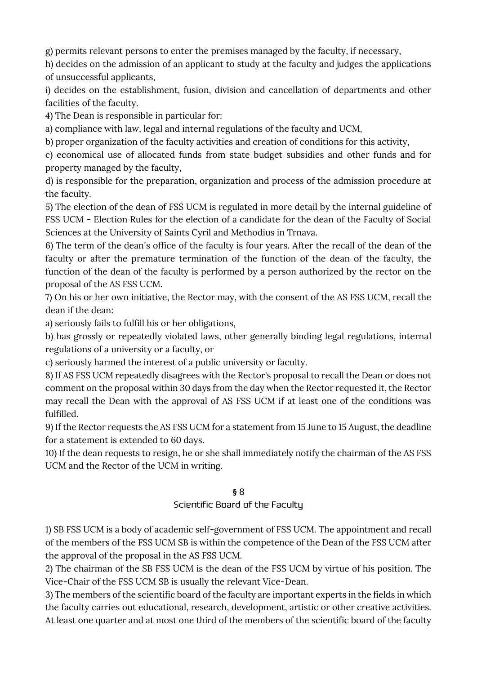g) permits relevant persons to enter the premises managed by the faculty, if necessary,

h) decides on the admission of an applicant to study at the faculty and judges the applications of unsuccessful applicants,

i) decides on the establishment, fusion, division and cancellation of departments and other facilities of the faculty.

4) The Dean is responsible in particular for:

a) compliance with law, legal and internal regulations of the faculty and UCM,

b) proper organization of the faculty activities and creation of conditions for this activity,

c) economical use of allocated funds from state budget subsidies and other funds and for property managed by the faculty,

d) is responsible for the preparation, organization and process of the admission procedure at the faculty.

5) The election of the dean of FSS UCM is regulated in more detail by the internal guideline of FSS UCM - Election Rules for the election of a candidate for the dean of the Faculty of Social Sciences at the University of Saints Cyril and Methodius in Trnava.

6) The term of the dean´s office of the faculty is four years. After the recall of the dean of the faculty or after the premature termination of the function of the dean of the faculty, the function of the dean of the faculty is performed by a person authorized by the rector on the proposal of the AS FSS UCM.

7) On his or her own initiative, the Rector may, with the consent of the AS FSS UCM, recall the dean if the dean:

a) seriously fails to fulfill his or her obligations,

b) has grossly or repeatedly violated laws, other generally binding legal regulations, internal regulations of a university or a faculty, or

c) seriously harmed the interest of a public university or faculty.

8) If AS FSS UCM repeatedly disagrees with the Rector's proposal to recall the Dean or does not comment on the proposal within 30 days from the day when the Rector requested it, the Rector may recall the Dean with the approval of AS FSS UCM if at least one of the conditions was fulfilled.

9) If the Rector requests the AS FSS UCM for a statement from 15 June to 15 August, the deadline for a statement is extended to 60 days.

10) If the dean requests to resign, he or she shall immediately notify the chairman of the AS FSS UCM and the Rector of the UCM in writing.

#### **§**

Scientific Board of the Faculty

1) SB FSS UCM is a body of academic self-government of FSS UCM. The appointment and recall of the members of the FSS UCM SB is within the competence of the Dean of the FSS UCM after the approval of the proposal in the AS FSS UCM.

2) The chairman of the SB FSS UCM is the dean of the FSS UCM by virtue of his position. The Vice-Chair of the FSS UCM SB is usually the relevant Vice-Dean.

3) The members of the scientific board of the faculty are important experts in the fields in which the faculty carries out educational, research, development, artistic or other creative activities. At least one quarter and at most one third of the members of the scientific board of the faculty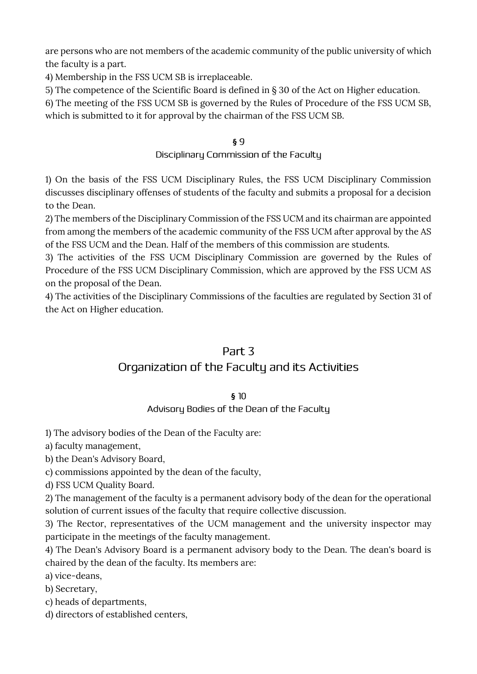are persons who are not members of the academic community of the public university of which the faculty is a part.

4) Membership in the FSS UCM SB is irreplaceable.

5) The competence of the Scientific Board is defined in § 30 of the Act on Higher education.

6) The meeting of the FSS UCM SB is governed by the Rules of Procedure of the FSS UCM SB, which is submitted to it for approval by the chairman of the FSS UCM SB.

# **§**

#### Disciplinary Commission of the Faculty

1) On the basis of the FSS UCM Disciplinary Rules, the FSS UCM Disciplinary Commission discusses disciplinary offenses of students of the faculty and submits a proposal for a decision to the Dean.

2) The members of the Disciplinary Commission of the FSS UCM and its chairman are appointed from among the members of the academic community of the FSS UCM after approval by the AS of the FSS UCM and the Dean. Half of the members of this commission are students.

3) The activities of the FSS UCM Disciplinary Commission are governed by the Rules of Procedure of the FSS UCM Disciplinary Commission, which are approved by the FSS UCM AS on the proposal of the Dean.

4) The activities of the Disciplinary Commissions of the faculties are regulated by Section 31 of the Act on Higher education.

# Part 3

# Organization of the Faculty and its Activities

#### **§**

# Advisory Bodies of the Dean of the Faculty

1) The advisory bodies of the Dean of the Faculty are:

a) faculty management,

b) the Dean's Advisory Board,

c) commissions appointed by the dean of the faculty,

d) FSS UCM Quality Board.

2) The management of the faculty is a permanent advisory body of the dean for the operational solution of current issues of the faculty that require collective discussion.

3) The Rector, representatives of the UCM management and the university inspector may participate in the meetings of the faculty management.

4) The Dean's Advisory Board is a permanent advisory body to the Dean. The dean's board is chaired by the dean of the faculty. Its members are:

a) vice-deans,

b) Secretary,

c) heads of departments,

d) directors of established centers,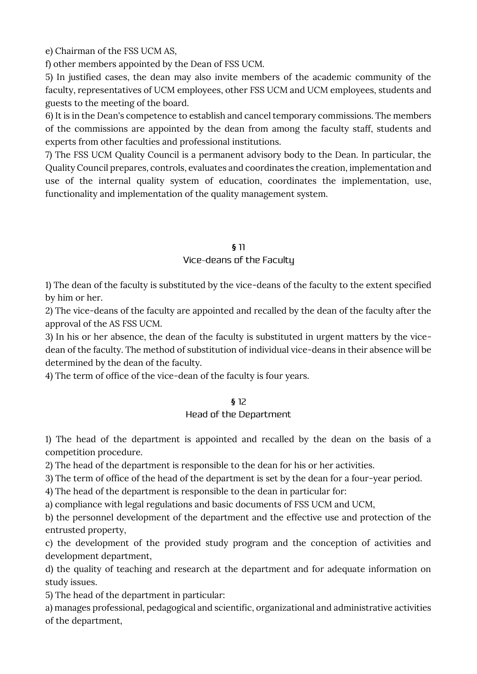e) Chairman of the FSS UCM AS,

f) other members appointed by the Dean of FSS UCM.

5) In justified cases, the dean may also invite members of the academic community of the faculty, representatives of UCM employees, other FSS UCM and UCM employees, students and guests to the meeting of the board.

6) It is in the Dean's competence to establish and cancel temporary commissions. The members of the commissions are appointed by the dean from among the faculty staff, students and experts from other faculties and professional institutions.

7) The FSS UCM Quality Council is a permanent advisory body to the Dean. In particular, the Quality Council prepares, controls, evaluates and coordinates the creation, implementation and use of the internal quality system of education, coordinates the implementation, use, functionality and implementation of the quality management system.

#### **§**

#### Vice-deans of the Faculty

1) The dean of the faculty is substituted by the vice-deans of the faculty to the extent specified by him or her.

2) The vice-deans of the faculty are appointed and recalled by the dean of the faculty after the approval of the AS FSS UCM.

3) In his or her absence, the dean of the faculty is substituted in urgent matters by the vicedean of the faculty. The method of substitution of individual vice-deans in their absence will be determined by the dean of the faculty.

4) The term of office of the vice-dean of the faculty is four years.

#### **§**

#### Head of the Department

1) The head of the department is appointed and recalled by the dean on the basis of a competition procedure.

2) The head of the department is responsible to the dean for his or her activities.

3) The term of office of the head of the department is set by the dean for a four-year period.

4) The head of the department is responsible to the dean in particular for:

a) compliance with legal regulations and basic documents of FSS UCM and UCM,

b) the personnel development of the department and the effective use and protection of the entrusted property,

c) the development of the provided study program and the conception of activities and development department,

d) the quality of teaching and research at the department and for adequate information on study issues.

5) The head of the department in particular:

a) manages professional, pedagogical and scientific, organizational and administrative activities of the department,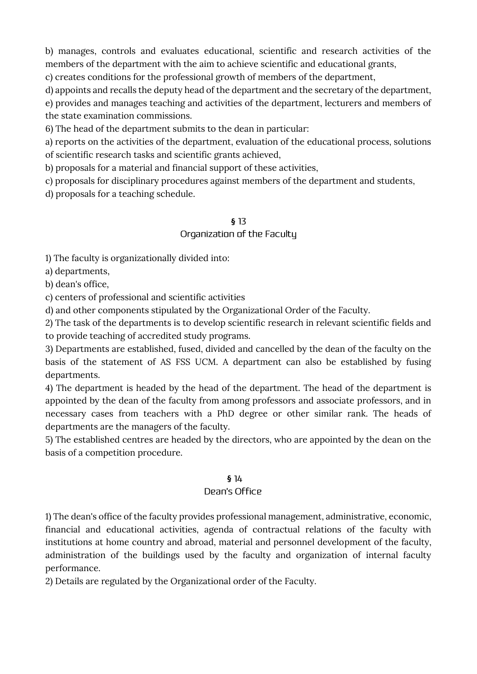b) manages, controls and evaluates educational, scientific and research activities of the members of the department with the aim to achieve scientific and educational grants,

c) creates conditions for the professional growth of members of the department,

d) appoints and recalls the deputy head of the department and the secretary of the department,

e) provides and manages teaching and activities of the department, lecturers and members of the state examination commissions.

6) The head of the department submits to the dean in particular:

a) reports on the activities of the department, evaluation of the educational process, solutions of scientific research tasks and scientific grants achieved,

b) proposals for a material and financial support of these activities,

c) proposals for disciplinary procedures against members of the department and students,

d) proposals for a teaching schedule.

#### **§**

#### Organization of the Faculty

1) The faculty is organizationally divided into:

a) departments,

b) dean's office,

c) centers of professional and scientific activities

d) and other components stipulated by the Organizational Order of the Faculty.

2) The task of the departments is to develop scientific research in relevant scientific fields and

to provide teaching of accredited study programs. 3) Departments are established, fused, divided and cancelled by the dean of the faculty on the

basis of the statement of AS FSS UCM. A department can also be established by fusing departments.

4) The department is headed by the head of the department. The head of the department is appointed by the dean of the faculty from among professors and associate professors, and in necessary cases from teachers with a PhD degree or other similar rank. The heads of departments are the managers of the faculty.

5) The established centres are headed by the directors, who are appointed by the dean on the basis of a competition procedure.

#### **§**

#### Dean's Office

1) The dean's office of the faculty provides professional management, administrative, economic, financial and educational activities, agenda of contractual relations of the faculty with institutions at home country and abroad, material and personnel development of the faculty, administration of the buildings used by the faculty and organization of internal faculty performance.

2) Details are regulated by the Organizational order of the Faculty.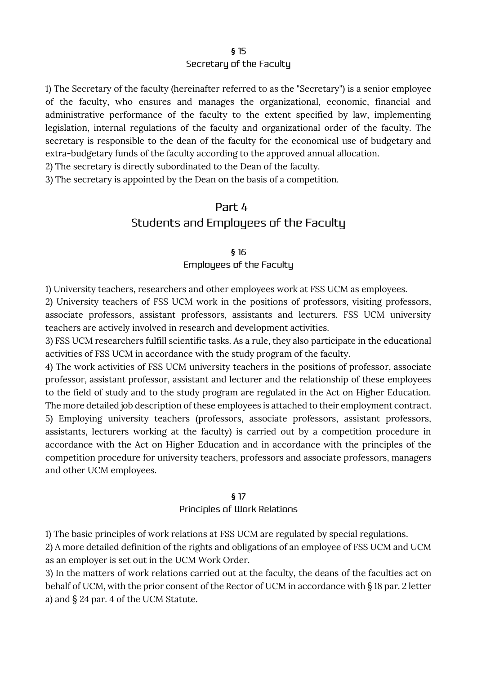#### **§** Secretary of the Faculty

1) The Secretary of the faculty (hereinafter referred to as the "Secretary") is a senior employee of the faculty, who ensures and manages the organizational, economic, financial and administrative performance of the faculty to the extent specified by law, implementing legislation, internal regulations of the faculty and organizational order of the faculty. The secretary is responsible to the dean of the faculty for the economical use of budgetary and extra-budgetary funds of the faculty according to the approved annual allocation.

2) The secretary is directly subordinated to the Dean of the faculty.

3) The secretary is appointed by the Dean on the basis of a competition.

# Part 4 Students and Employees of the Faculty

#### **§** Employees of the Faculty

1) University teachers, researchers and other employees work at FSS UCM as employees.

2) University teachers of FSS UCM work in the positions of professors, visiting professors, associate professors, assistant professors, assistants and lecturers. FSS UCM university teachers are actively involved in research and development activities.

3) FSS UCM researchers fulfill scientific tasks. As a rule, they also participate in the educational activities of FSS UCM in accordance with the study program of the faculty.

4) The work activities of FSS UCM university teachers in the positions of professor, associate professor, assistant professor, assistant and lecturer and the relationship of these employees to the field of study and to the study program are regulated in the Act on Higher Education. The more detailed job description of these employees is attached to their employment contract. 5) Employing university teachers (professors, associate professors, assistant professors, assistants, lecturers working at the faculty) is carried out by a competition procedure in accordance with the Act on Higher Education and in accordance with the principles of the competition procedure for university teachers, professors and associate professors, managers and other UCM employees.

#### **§**

#### Principles of Work Relations

1) The basic principles of work relations at FSS UCM are regulated by special regulations.

2) A more detailed definition of the rights and obligations of an employee of FSS UCM and UCM as an employer is set out in the UCM Work Order.

3) In the matters of work relations carried out at the faculty, the deans of the faculties act on behalf of UCM, with the prior consent of the Rector of UCM in accordance with § 18 par. 2 letter a) and § 24 par. 4 of the UCM Statute.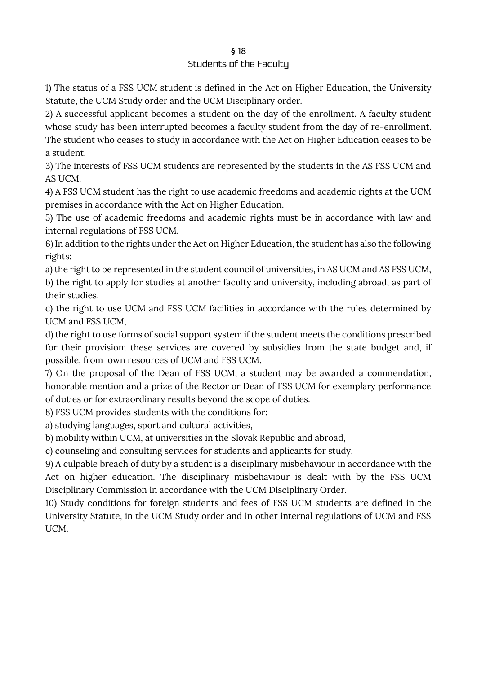#### Students of the Faculty

1) The status of a FSS UCM student is defined in the Act on Higher Education, the University Statute, the UCM Study order and the UCM Disciplinary order.

2) A successful applicant becomes a student on the day of the enrollment. A faculty student whose study has been interrupted becomes a faculty student from the day of re-enrollment. The student who ceases to study in accordance with the Act on Higher Education ceases to be a student.

3) The interests of FSS UCM students are represented by the students in the AS FSS UCM and AS UCM.

4) A FSS UCM student has the right to use academic freedoms and academic rights at the UCM premises in accordance with the Act on Higher Education.

5) The use of academic freedoms and academic rights must be in accordance with law and internal regulations of FSS UCM.

6) In addition to the rights under the Act on Higher Education, the student has also the following rights:

a) the right to be represented in the student council of universities, in AS UCM and AS FSS UCM,

b) the right to apply for studies at another faculty and university, including abroad, as part of their studies,

c) the right to use UCM and FSS UCM facilities in accordance with the rules determined by UCM and FSS UCM,

d) the right to use forms of social support system if the student meets the conditions prescribed for their provision; these services are covered by subsidies from the state budget and, if possible, from own resources of UCM and FSS UCM.

7) On the proposal of the Dean of FSS UCM, a student may be awarded a commendation, honorable mention and a prize of the Rector or Dean of FSS UCM for exemplary performance of duties or for extraordinary results beyond the scope of duties.

8) FSS UCM provides students with the conditions for:

a) studying languages, sport and cultural activities,

b) mobility within UCM, at universities in the Slovak Republic and abroad,

c) counseling and consulting services for students and applicants for study.

9) A culpable breach of duty by a student is a disciplinary misbehaviour in accordance with the Act on higher education. The disciplinary misbehaviour is dealt with by the FSS UCM Disciplinary Commission in accordance with the UCM Disciplinary Order.

10) Study conditions for foreign students and fees of FSS UCM students are defined in the University Statute, in the UCM Study order and in other internal regulations of UCM and FSS UCM.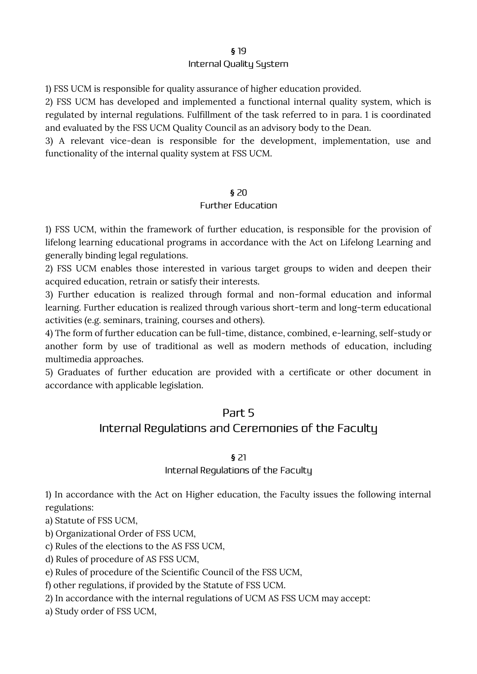#### Internal Quality System

1) FSS UCM is responsible for quality assurance of higher education provided.

2) FSS UCM has developed and implemented a functional internal quality system, which is regulated by internal regulations. Fulfillment of the task referred to in para. 1 is coordinated and evaluated by the FSS UCM Quality Council as an advisory body to the Dean.

3) A relevant vice-dean is responsible for the development, implementation, use and functionality of the internal quality system at FSS UCM.

#### **§**

#### **Further Education**

1) FSS UCM, within the framework of further education, is responsible for the provision of lifelong learning educational programs in accordance with the Act on Lifelong Learning and generally binding legal regulations.

2) FSS UCM enables those interested in various target groups to widen and deepen their acquired education, retrain or satisfy their interests.

3) Further education is realized through formal and non-formal education and informal learning. Further education is realized through various short-term and long-term educational activities (e.g. seminars, training, courses and others).

4) The form of further education can be full-time, distance, combined, e-learning, self-study or another form by use of traditional as well as modern methods of education, including multimedia approaches.

5) Graduates of further education are provided with a certificate or other document in accordance with applicable legislation.

# Part 5

# Internal Regulations and Ceremonies of the Faculty

#### **§**

#### Internal Regulations of the Faculty

1) In accordance with the Act on Higher education, the Faculty issues the following internal regulations:

a) Statute of FSS UCM,

b) Organizational Order of FSS UCM,

c) Rules of the elections to the AS FSS UCM,

d) Rules of procedure of AS FSS UCM,

e) Rules of procedure of the Scientific Council of the FSS UCM,

f) other regulations, if provided by the Statute of FSS UCM.

2) In accordance with the internal regulations of UCM AS FSS UCM may accept:

a) Study order of FSS UCM,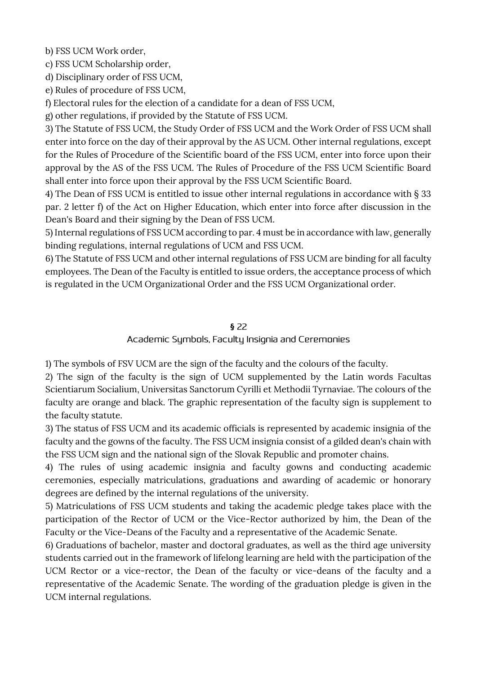b) FSS UCM Work order,

c) FSS UCM Scholarship order,

d) Disciplinary order of FSS UCM,

e) Rules of procedure of FSS UCM,

f) Electoral rules for the election of a candidate for a dean of FSS UCM,

g) other regulations, if provided by the Statute of FSS UCM.

3) The Statute of FSS UCM, the Study Order of FSS UCM and the Work Order of FSS UCM shall enter into force on the day of their approval by the AS UCM. Other internal regulations, except for the Rules of Procedure of the Scientific board of the FSS UCM, enter into force upon their approval by the AS of the FSS UCM. The Rules of Procedure of the FSS UCM Scientific Board shall enter into force upon their approval by the FSS UCM Scientific Board.

4) The Dean of FSS UCM is entitled to issue other internal regulations in accordance with § 33 par. 2 letter f) of the Act on Higher Education, which enter into force after discussion in the Dean's Board and their signing by the Dean of FSS UCM.

5) Internal regulations of FSS UCM according to par. 4 must be in accordance with law, generally binding regulations, internal regulations of UCM and FSS UCM.

6) The Statute of FSS UCM and other internal regulations of FSS UCM are binding for all faculty employees. The Dean of the Faculty is entitled to issue orders, the acceptance process of which is regulated in the UCM Organizational Order and the FSS UCM Organizational order.

#### **§**

#### Academic Symbols, Faculty Insignia and Ceremonies

1) The symbols of FSV UCM are the sign of the faculty and the colours of the faculty.

2) The sign of the faculty is the sign of UCM supplemented by the Latin words Facultas Scientiarum Socialium, Universitas Sanctorum Cyrilli et Methodii Tyrnaviae. The colours of the faculty are orange and black. The graphic representation of the faculty sign is supplement to the faculty statute.

3) The status of FSS UCM and its academic officials is represented by academic insignia of the faculty and the gowns of the faculty. The FSS UCM insignia consist of a gilded dean's chain with the FSS UCM sign and the national sign of the Slovak Republic and promoter chains.

4) The rules of using academic insignia and faculty gowns and conducting academic ceremonies, especially matriculations, graduations and awarding of academic or honorary degrees are defined by the internal regulations of the university.

5) Matriculations of FSS UCM students and taking the academic pledge takes place with the participation of the Rector of UCM or the Vice-Rector authorized by him, the Dean of the Faculty or the Vice-Deans of the Faculty and a representative of the Academic Senate.

6) Graduations of bachelor, master and doctoral graduates, as well as the third age university students carried out in the framework of lifelong learning are held with the participation of the UCM Rector or a vice-rector, the Dean of the faculty or vice-deans of the faculty and a representative of the Academic Senate. The wording of the graduation pledge is given in the UCM internal regulations.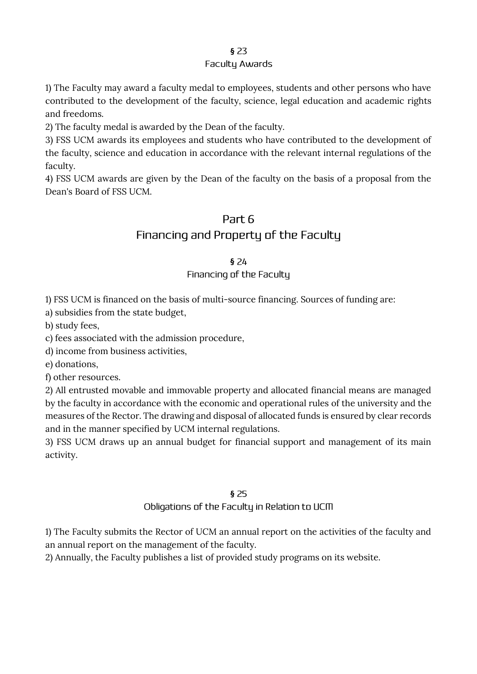#### Faculty Awards

1) The Faculty may award a faculty medal to employees, students and other persons who have contributed to the development of the faculty, science, legal education and academic rights and freedoms.

2) The faculty medal is awarded by the Dean of the faculty.

3) FSS UCM awards its employees and students who have contributed to the development of the faculty, science and education in accordance with the relevant internal regulations of the faculty.

4) FSS UCM awards are given by the Dean of the faculty on the basis of a proposal from the Dean's Board of FSS UCM.

## Part 6

# Financing and Property of the Faculty

#### **§**

#### Financing of the Faculty

1) FSS UCM is financed on the basis of multi-source financing. Sources of funding are:

a) subsidies from the state budget,

b) study fees,

c) fees associated with the admission procedure,

d) income from business activities,

e) donations,

f) other resources.

2) All entrusted movable and immovable property and allocated financial means are managed by the faculty in accordance with the economic and operational rules of the university and the measures of the Rector. The drawing and disposal of allocated funds is ensured by clear records and in the manner specified by UCM internal regulations.

3) FSS UCM draws up an annual budget for financial support and management of its main activity.

#### **§**

#### Obligations of the Faculty in Relation to UCM

1) The Faculty submits the Rector of UCM an annual report on the activities of the faculty and an annual report on the management of the faculty.

2) Annually, the Faculty publishes a list of provided study programs on its website.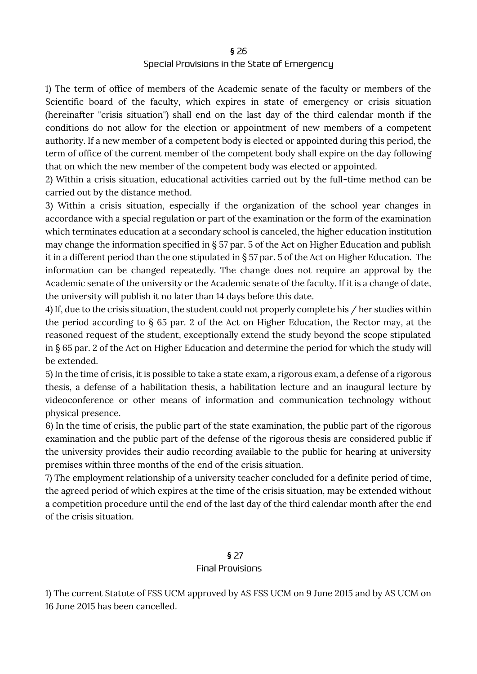#### Special Provisions in the State of Emergency

1) The term of office of members of the Academic senate of the faculty or members of the Scientific board of the faculty, which expires in state of emergency or crisis situation (hereinafter "crisis situation") shall end on the last day of the third calendar month if the conditions do not allow for the election or appointment of new members of a competent authority. If a new member of a competent body is elected or appointed during this period, the term of office of the current member of the competent body shall expire on the day following that on which the new member of the competent body was elected or appointed.

2) Within a crisis situation, educational activities carried out by the full-time method can be carried out by the distance method.

3) Within a crisis situation, especially if the organization of the school year changes in accordance with a special regulation or part of the examination or the form of the examination which terminates education at a secondary school is canceled, the higher education institution may change the information specified in § 57 par. 5 of the Act on Higher Education and publish it in a different period than the one stipulated in § 57 par. 5 of the Act on Higher Education. The information can be changed repeatedly. The change does not require an approval by the Academic senate of the university or the Academic senate of the faculty. If it is a change of date, the university will publish it no later than 14 days before this date.

4) If, due to the crisis situation, the student could not properly complete his / her studies within the period according to § 65 par. 2 of the Act on Higher Education, the Rector may, at the reasoned request of the student, exceptionally extend the study beyond the scope stipulated in § 65 par. 2 of the Act on Higher Education and determine the period for which the study will be extended.

5) In the time of crisis, it is possible to take a state exam, a rigorous exam, a defense of a rigorous thesis, a defense of a habilitation thesis, a habilitation lecture and an inaugural lecture by videoconference or other means of information and communication technology without physical presence.

6) In the time of crisis, the public part of the state examination, the public part of the rigorous examination and the public part of the defense of the rigorous thesis are considered public if the university provides their audio recording available to the public for hearing at university premises within three months of the end of the crisis situation.

7) The employment relationship of a university teacher concluded for a definite period of time, the agreed period of which expires at the time of the crisis situation, may be extended without a competition procedure until the end of the last day of the third calendar month after the end of the crisis situation.

#### **§ Final Provisions**

1) The current Statute of FSS UCM approved by AS FSS UCM on 9 June 2015 and by AS UCM on 16 June 2015 has been cancelled.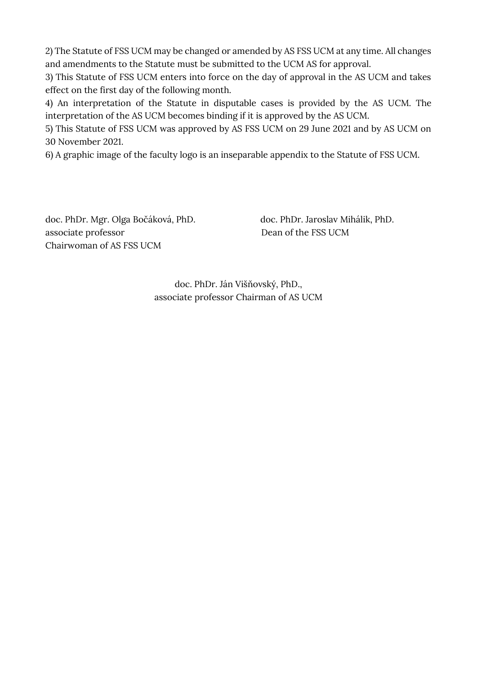2) The Statute of FSS UCM may be changed or amended by AS FSS UCM at any time. All changes and amendments to the Statute must be submitted to the UCM AS for approval.

3) This Statute of FSS UCM enters into force on the day of approval in the AS UCM and takes effect on the first day of the following month.

4) An interpretation of the Statute in disputable cases is provided by the AS UCM. The interpretation of the AS UCM becomes binding if it is approved by the AS UCM.

5) This Statute of FSS UCM was approved by AS FSS UCM on 29 June 2021 and by AS UCM on 30 November 2021.

6) A graphic image of the faculty logo is an inseparable appendix to the Statute of FSS UCM.

doc. PhDr. Mgr. Olga Bočáková, PhD. doc. PhDr. Jaroslav Mihálik, PhD. associate professor Dean of the FSS UCM Chairwoman of AS FSS UCM

doc. PhDr. Ján Višňovský, PhD., associate professor Chairman of AS UCM